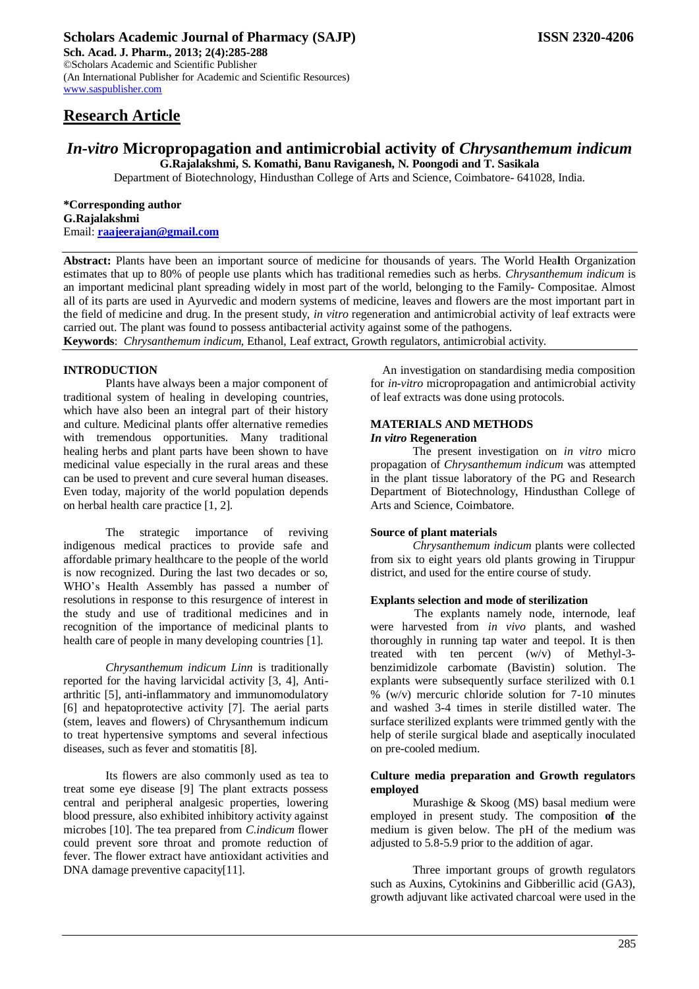# **Research Article**

# *In-vitro* **Micropropagation and antimicrobial activity of** *Chrysanthemum indicum*

**G.Rajalakshmi, S. Komathi, Banu Raviganesh, N. Poongodi and T. Sasikala** Department of Biotechnology, Hindusthan College of Arts and Science, Coimbatore- 641028, India.

**\*Corresponding author**

**G.Rajalakshmi** Email: **[raajeerajan@gmail.com](mailto:raajeerajan@gmail.com)**

**Abstract:** Plants have been an important source of medicine for thousands of years. The World Hea**l**th Organization estimates that up to 80% of people use plants which has traditional remedies such as herbs. *Chrysanthemum indicum* is an important medicinal plant spreading widely in most part of the world, belonging to the Family- Compositae. Almost all of its parts are used in Ayurvedic and modern systems of medicine, leaves and flowers are the most important part in the field of medicine and drug. In the present study, *in vitro* regeneration and antimicrobial activity of leaf extracts were carried out. The plant was found to possess antibacterial activity against some of the pathogens. **Keywords**: *Chrysanthemum indicum,* Ethanol, Leaf extract, Growth regulators, antimicrobial activity.

### **INTRODUCTION**

Plants have always been a major component of traditional system of healing in developing countries, which have also been an integral part of their history and culture. Medicinal plants offer alternative remedies with tremendous opportunities. Many traditional healing herbs and plant parts have been shown to have medicinal value especially in the rural areas and these can be used to prevent and cure several human diseases. Even today, majority of the world population depends on herbal health care practice [1, 2].

The strategic importance of reviving indigenous medical practices to provide safe and affordable primary healthcare to the people of the world is now recognized. During the last two decades or so, WHO's Health Assembly has passed a number of resolutions in response to this resurgence of interest in the study and use of traditional medicines and in recognition of the importance of medicinal plants to health care of people in many developing countries [1].

*Chrysanthemum indicum Linn* is traditionally reported for the having larvicidal activity [3, 4], Antiarthritic [5], anti-inflammatory and immunomodulatory [6] and hepatoprotective activity [7]. The aerial parts (stem, leaves and flowers) of Chrysanthemum indicum to treat hypertensive symptoms and several infectious diseases, such as fever and stomatitis [8].

Its flowers are also commonly used as tea to treat some eye disease [9] The plant extracts possess central and peripheral analgesic properties, lowering blood pressure, also exhibited inhibitory activity against microbes [10]. The tea prepared from *C.indicum* flower could prevent sore throat and promote reduction of fever. The flower extract have antioxidant activities and DNA damage preventive capacity<sup>[11]</sup>.

An investigation on standardising media composition for *in-vitro* micropropagation and antimicrobial activity of leaf extracts was done using protocols.

#### **MATERIALS AND METHODS** *In vitro* **Regeneration**

The present investigation on *in vitro* micro propagation of *Chrysanthemum indicum* was attempted in the plant tissue laboratory of the PG and Research Department of Biotechnology, Hindusthan College of Arts and Science, Coimbatore.

#### **Source of plant materials**

*Chrysanthemum indicum* plants were collected from six to eight years old plants growing in Tiruppur district, and used for the entire course of study.

#### **Explants selection and mode of sterilization**

 The explants namely node, internode, leaf were harvested from *in vivo* plants, and washed thoroughly in running tap water and teepol. It is then treated with ten percent (w/v) of Methyl-3 benzimidizole carbomate (Bavistin) solution. The explants were subsequently surface sterilized with 0.1  $\%$  (w/v) mercuric chloride solution for 7-10 minutes and washed 3-4 times in sterile distilled water. The surface sterilized explants were trimmed gently with the help of sterile surgical blade and aseptically inoculated on pre-cooled medium.

#### **Culture media preparation and Growth regulators employed**

Murashige & Skoog (MS) basal medium were employed in present study. The composition **of** the medium is given below. The pH of the medium was adjusted to 5.8-5.9 prior to the addition of agar.

Three important groups of growth regulators such as Auxins, Cytokinins and Gibberillic acid (GA3), growth adjuvant like activated charcoal were used in the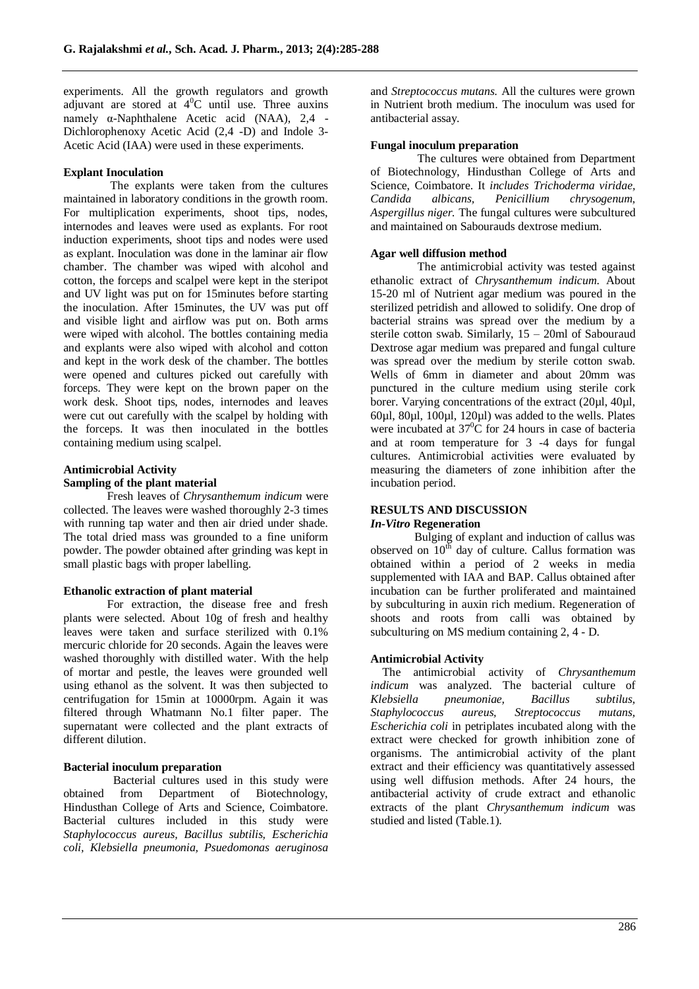experiments. All the growth regulators and growth adjuvant are stored at  $4^{\circ}$ C until use. Three auxins namely α-Naphthalene Acetic acid (NAA), 2,4 - Dichlorophenoxy Acetic Acid (2,4 -D) and Indole 3- Acetic Acid (IAA) were used in these experiments.

#### **Explant Inoculation**

 The explants were taken from the cultures maintained in laboratory conditions in the growth room. For multiplication experiments, shoot tips, nodes, internodes and leaves were used as explants. For root induction experiments, shoot tips and nodes were used as explant. Inoculation was done in the laminar air flow chamber. The chamber was wiped with alcohol and cotton, the forceps and scalpel were kept in the steripot and UV light was put on for 15minutes before starting the inoculation. After 15minutes, the UV was put off and visible light and airflow was put on. Both arms were wiped with alcohol. The bottles containing media and explants were also wiped with alcohol and cotton and kept in the work desk of the chamber. The bottles were opened and cultures picked out carefully with forceps. They were kept on the brown paper on the work desk. Shoot tips, nodes, internodes and leaves were cut out carefully with the scalpel by holding with the forceps. It was then inoculated in the bottles containing medium using scalpel.

# **Antimicrobial Activity Sampling of the plant material**

 Fresh leaves of *Chrysanthemum indicum* were collected. The leaves were washed thoroughly 2-3 times with running tap water and then air dried under shade. The total dried mass was grounded to a fine uniform powder. The powder obtained after grinding was kept in small plastic bags with proper labelling.

#### **Ethanolic extraction of plant material**

 For extraction, the disease free and fresh plants were selected. About 10g of fresh and healthy leaves were taken and surface sterilized with 0.1% mercuric chloride for 20 seconds. Again the leaves were washed thoroughly with distilled water. With the help of mortar and pestle, the leaves were grounded well using ethanol as the solvent. It was then subjected to centrifugation for 15min at 10000rpm. Again it was filtered through Whatmann No.1 filter paper. The supernatant were collected and the plant extracts of different dilution.

## **Bacterial inoculum preparation**

 Bacterial cultures used in this study were obtained from Department of Biotechnology, Hindusthan College of Arts and Science, Coimbatore. Bacterial cultures included in this study were *Staphylococcus aureus, Bacillus subtilis, Escherichia coli, Klebsiella pneumonia, Psuedomonas aeruginosa* 

and *Streptococcus mutans.* All the cultures were grown in Nutrient broth medium. The inoculum was used for antibacterial assay.

#### **Fungal inoculum preparation**

 The cultures were obtained from Department of Biotechnology, Hindusthan College of Arts and Science, Coimbatore. It *includes Trichoderma viridae, Candida albicans, Penicillium chrysogenum, Aspergillus niger.* The fungal cultures were subcultured and maintained on Sabourauds dextrose medium.

### **Agar well diffusion method**

 The antimicrobial activity was tested against ethanolic extract of *Chrysanthemum indicum*. About 15-20 ml of Nutrient agar medium was poured in the sterilized petridish and allowed to solidify. One drop of bacterial strains was spread over the medium by a sterile cotton swab. Similarly, 15 – 20ml of Sabouraud Dextrose agar medium was prepared and fungal culture was spread over the medium by sterile cotton swab. Wells of 6mm in diameter and about 20mm was punctured in the culture medium using sterile cork borer. Varying concentrations of the extract (20µl, 40µl, 60µl, 80µl, 100µl, 120µl) was added to the wells. Plates were incubated at  $37^{\circ}$ C for 24 hours in case of bacteria and at room temperature for 3 -4 days for fungal cultures. Antimicrobial activities were evaluated by measuring the diameters of zone inhibition after the incubation period.

#### **RESULTS AND DISCUSSION** *In-Vitro* **Regeneration**

 Bulging of explant and induction of callus was observed on  $10^{th}$  day of culture. Callus formation was obtained within a period of 2 weeks in media supplemented with IAA and BAP. Callus obtained after incubation can be further proliferated and maintained by subculturing in auxin rich medium. Regeneration of shoots and roots from calli was obtained by subculturing on MS medium containing 2, 4 - D.

#### **Antimicrobial Activity**

The antimicrobial activity of *Chrysanthemum indicum* was analyzed. The bacterial culture of *Klebsiella pneumoniae, Bacillus subtilus, Staphylococcus aureus, Streptococcus mutans, Escherichia coli* in petriplates incubated along with the extract were checked for growth inhibition zone of organisms. The antimicrobial activity of the plant extract and their efficiency was quantitatively assessed using well diffusion methods. After 24 hours, the antibacterial activity of crude extract and ethanolic extracts of the plant *Chrysanthemum indicum* was studied and listed (Table.1).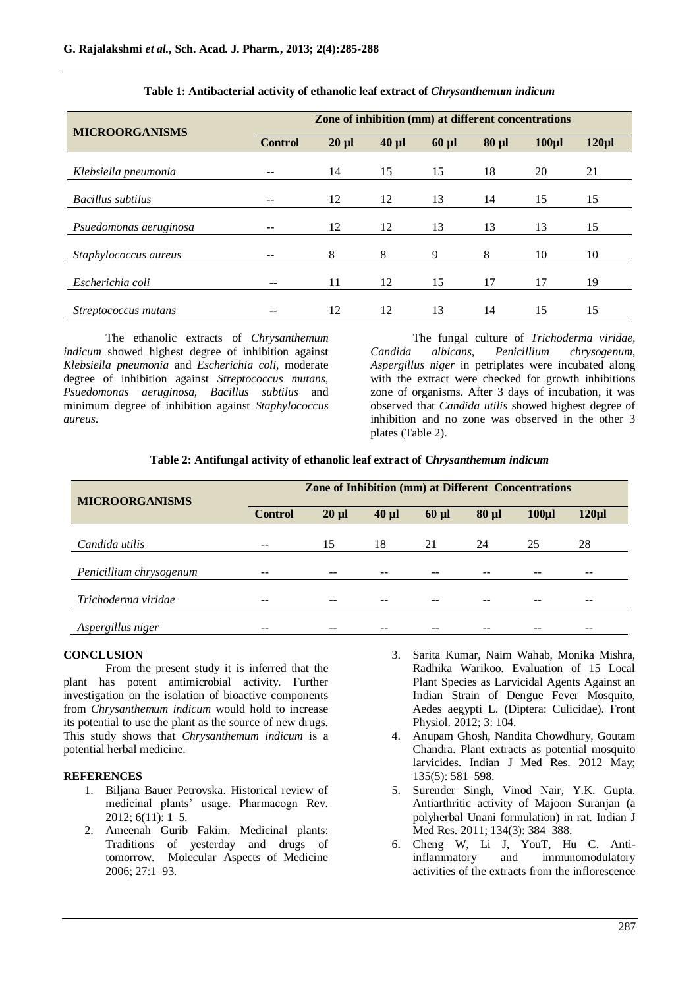| <b>MICROORGANISMS</b>  | Zone of inhibition (mm) at different concentrations |            |            |            |            |                  |             |
|------------------------|-----------------------------------------------------|------------|------------|------------|------------|------------------|-------------|
|                        | <b>Control</b>                                      | $20 \mu l$ | $40 \mu l$ | $60 \mu l$ | $80 \mu l$ | 100 <sub>µ</sub> | $120 \mu$ l |
| Klebsiella pneumonia   |                                                     | 14         | 15         | 15         | 18         | 20               | 21          |
| Bacillus subtilus      |                                                     | 12         | 12         | 13         | 14         | 15               | 15          |
| Psuedomonas aeruginosa |                                                     | 12         | 12         | 13         | 13         | 13               | 15          |
| Staphylococcus aureus  |                                                     | 8          | 8          | 9          | 8          | 10               | 10          |
| Escherichia coli       | $- -$                                               | 11         | 12         | 15         | 17         | 17               | 19          |
| Streptococcus mutans   |                                                     | 12         | 12         | 13         | 14         | 15               | 15          |

#### **Table 1: Antibacterial activity of ethanolic leaf extract of** *Chrysanthemum indicum*

The ethanolic extracts of *Chrysanthemum indicum* showed highest degree of inhibition against *Klebsiella pneumonia* and *Escherichia coli*, moderate degree of inhibition against *Streptococcus mutans, Psuedomonas aeruginosa, Bacillus subtilus* and minimum degree of inhibition against *Staphylococcus aureus*.

The fungal culture of *Trichoderma viridae, Candida albicans, Penicillium chrysogenum, Aspergillus niger* in petriplates were incubated along with the extract were checked for growth inhibitions zone of organisms. After 3 days of incubation, it was observed that *Candida utilis* showed highest degree of inhibition and no zone was observed in the other 3 plates (Table 2).

|  |  | Table 2: Antifungal activity of ethanolic leaf extract of Chrysanthemum indicum |  |
|--|--|---------------------------------------------------------------------------------|--|
|  |  |                                                                                 |  |

| <b>MICROORGANISMS</b>   | Zone of Inhibition (mm) at Different Concentrations |            |            |            |            |                  |             |  |
|-------------------------|-----------------------------------------------------|------------|------------|------------|------------|------------------|-------------|--|
|                         | <b>Control</b>                                      | $20 \mu l$ | $40 \mu l$ | $60 \mu l$ | $80 \mu l$ | 100 <sub>µ</sub> | $120 \mu$ l |  |
| Candida utilis          | --                                                  | 15         | 18         | 21         | 24         | 25               | 28          |  |
| Penicillium chrysogenum |                                                     |            |            |            |            |                  |             |  |
| Trichoderma viridae     |                                                     |            |            |            |            |                  |             |  |
| Aspergillus niger       |                                                     |            |            |            |            |                  |             |  |

#### **CONCLUSION**

From the present study it is inferred that the plant has potent antimicrobial activity. Further investigation on the isolation of bioactive components from *Chrysanthemum indicum* would hold to increase its potential to use the plant as the source of new drugs. This study shows that *Chrysanthemum indicum* is a potential herbal medicine.

#### **REFERENCES**

- 1. Biljana Bauer Petrovska. Historical review of medicinal plants' usage. Pharmacogn Rev. 2012; 6(11): 1–5.
- 2. Ameenah Gurib Fakim. Medicinal plants: Traditions of yesterday and drugs of tomorrow. Molecular Aspects of Medicine 2006; 27:1–93.
- 3. Sarita Kumar, Naim Wahab, Monika Mishra, Radhika Warikoo. Evaluation of 15 Local Plant Species as Larvicidal Agents Against an Indian Strain of Dengue Fever Mosquito, Aedes aegypti L. (Diptera: Culicidae). Front Physiol. 2012; 3: 104.
- 4. Anupam Ghosh, Nandita Chowdhury, Goutam Chandra. Plant extracts as potential mosquito larvicides. Indian J Med Res. 2012 May; 135(5): 581–598.
- 5. Surender Singh, Vinod Nair, Y.K. Gupta. Antiarthritic activity of Majoon Suranjan (a polyherbal Unani formulation) in rat. Indian J Med Res. 2011; 134(3): 384–388.
- 6. Cheng W, Li J, YouT, Hu C. Antiinflammatory and immunomodulatory activities of the extracts from the inflorescence